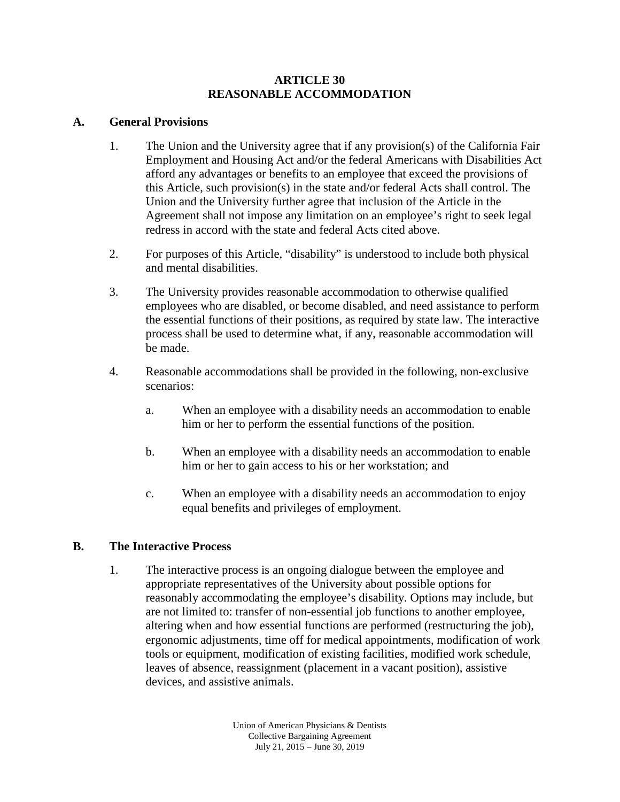# **ARTICLE 30 REASONABLE ACCOMMODATION**

## **A. General Provisions**

- 1. The Union and the University agree that if any provision(s) of the California Fair Employment and Housing Act and/or the federal Americans with Disabilities Act afford any advantages or benefits to an employee that exceed the provisions of this Article, such provision(s) in the state and/or federal Acts shall control. The Union and the University further agree that inclusion of the Article in the Agreement shall not impose any limitation on an employee's right to seek legal redress in accord with the state and federal Acts cited above.
- 2. For purposes of this Article, "disability" is understood to include both physical and mental disabilities.
- 3. The University provides reasonable accommodation to otherwise qualified employees who are disabled, or become disabled, and need assistance to perform the essential functions of their positions, as required by state law. The interactive process shall be used to determine what, if any, reasonable accommodation will be made.
- 4. Reasonable accommodations shall be provided in the following, non-exclusive scenarios:
	- a. When an employee with a disability needs an accommodation to enable him or her to perform the essential functions of the position.
	- b. When an employee with a disability needs an accommodation to enable him or her to gain access to his or her workstation; and
	- c. When an employee with a disability needs an accommodation to enjoy equal benefits and privileges of employment.

# **B. The Interactive Process**

1. The interactive process is an ongoing dialogue between the employee and appropriate representatives of the University about possible options for reasonably accommodating the employee's disability. Options may include, but are not limited to: transfer of non-essential job functions to another employee, altering when and how essential functions are performed (restructuring the job), ergonomic adjustments, time off for medical appointments, modification of work tools or equipment, modification of existing facilities, modified work schedule, leaves of absence, reassignment (placement in a vacant position), assistive devices, and assistive animals.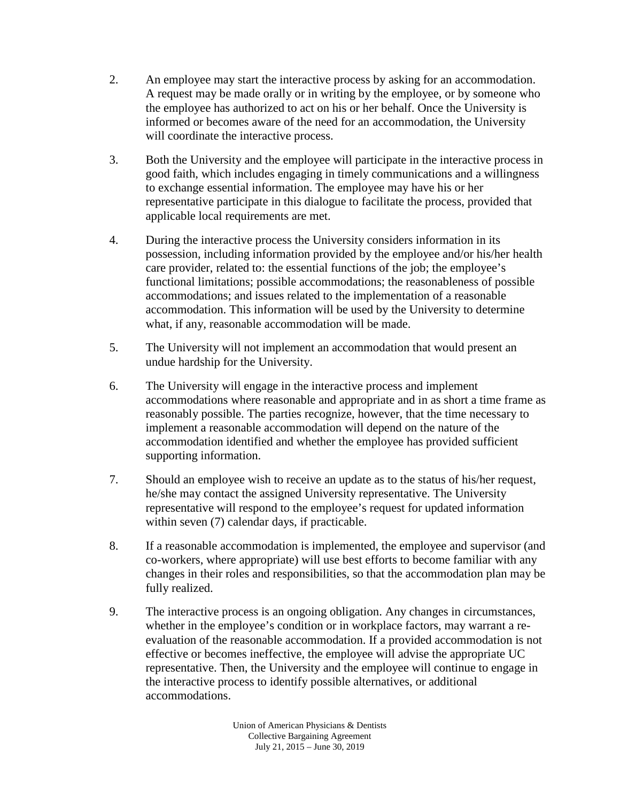- 2. An employee may start the interactive process by asking for an accommodation. A request may be made orally or in writing by the employee, or by someone who the employee has authorized to act on his or her behalf. Once the University is informed or becomes aware of the need for an accommodation, the University will coordinate the interactive process.
- 3. Both the University and the employee will participate in the interactive process in good faith, which includes engaging in timely communications and a willingness to exchange essential information. The employee may have his or her representative participate in this dialogue to facilitate the process, provided that applicable local requirements are met.
- 4. During the interactive process the University considers information in its possession, including information provided by the employee and/or his/her health care provider, related to: the essential functions of the job; the employee's functional limitations; possible accommodations; the reasonableness of possible accommodations; and issues related to the implementation of a reasonable accommodation. This information will be used by the University to determine what, if any, reasonable accommodation will be made.
- 5. The University will not implement an accommodation that would present an undue hardship for the University.
- 6. The University will engage in the interactive process and implement accommodations where reasonable and appropriate and in as short a time frame as reasonably possible. The parties recognize, however, that the time necessary to implement a reasonable accommodation will depend on the nature of the accommodation identified and whether the employee has provided sufficient supporting information.
- 7. Should an employee wish to receive an update as to the status of his/her request, he/she may contact the assigned University representative. The University representative will respond to the employee's request for updated information within seven (7) calendar days, if practicable.
- 8. If a reasonable accommodation is implemented, the employee and supervisor (and co-workers, where appropriate) will use best efforts to become familiar with any changes in their roles and responsibilities, so that the accommodation plan may be fully realized.
- 9. The interactive process is an ongoing obligation. Any changes in circumstances, whether in the employee's condition or in workplace factors, may warrant a reevaluation of the reasonable accommodation. If a provided accommodation is not effective or becomes ineffective, the employee will advise the appropriate UC representative. Then, the University and the employee will continue to engage in the interactive process to identify possible alternatives, or additional accommodations.